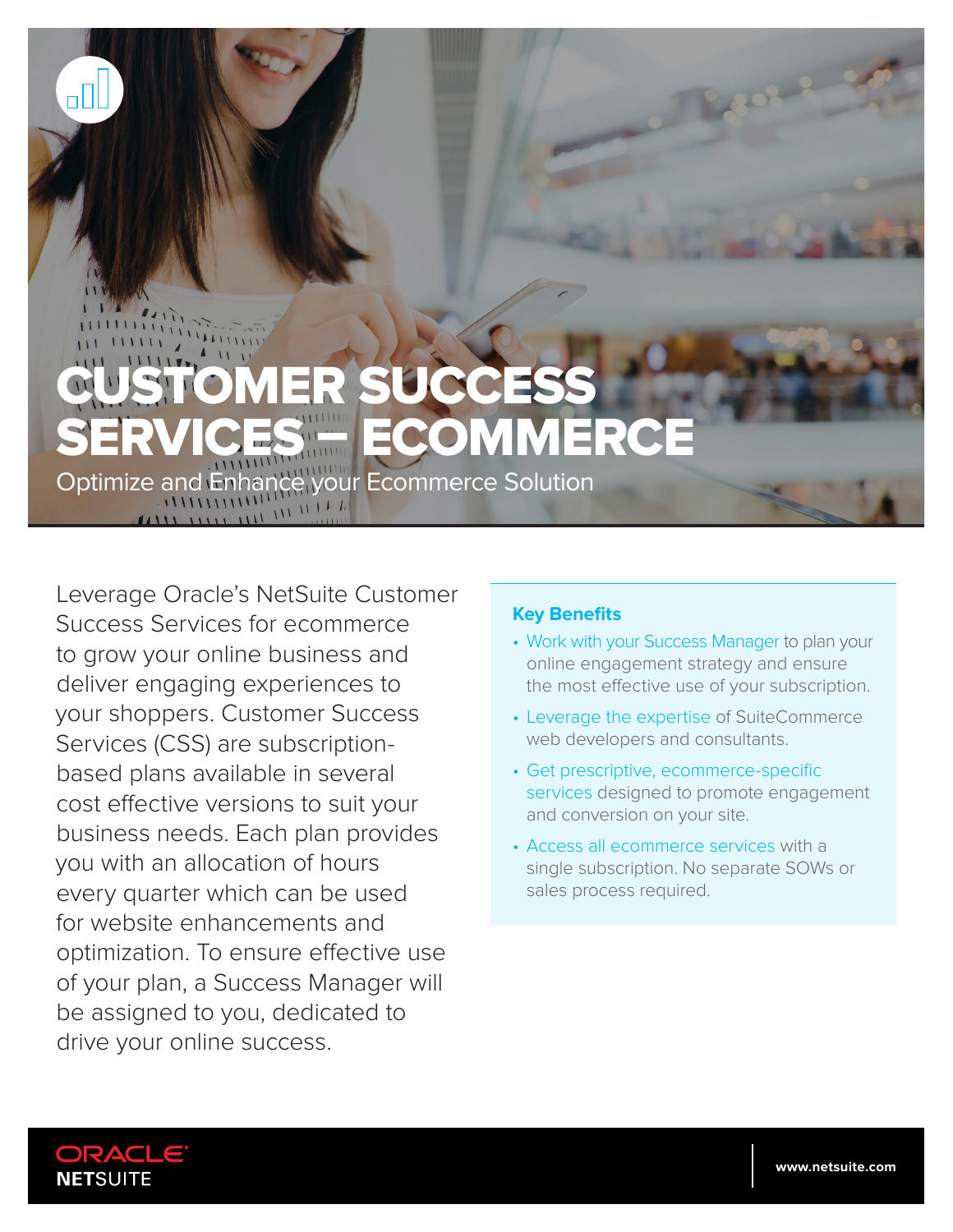## SUCCE MMERCE Optimize and Enhance your Ecommerce Solution

Leverage Oracle's NetSuite Customer Success Services for ecommerce to grow your online business and deliver engaging experiences to your shoppers. Customer Success Services (CSS) are subscriptionbased plans available in several cost effective versions to suit your business needs. Each plan provides you with an allocation of hours every quarter which can be used for website enhancements and optimization. To ensure effective use of your plan, a Success Manager will be assigned to you, dedicated to drive your online success.

## **Key Benefits**

- Work with your Success Manager to plan your online engagement strategy and ensure the most effective use of your subscription.
- Leverage the expertise of SuiteCommerce web developers and consultants.
- Get prescriptive, ecommerce-specific services designed to promote engagement and conversion on your site.
- Access all ecommerce services with a single subscription. No separate SOWs or sales process required.